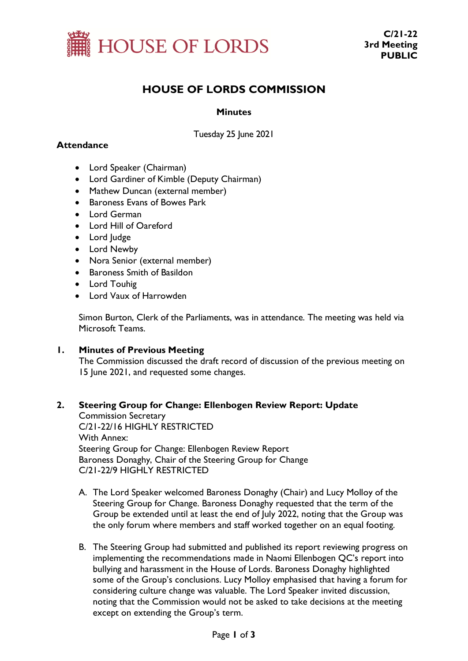

# **HOUSE OF LORDS COMMISSION**

#### **Minutes**

Tuesday 25 June 2021

### **Attendance**

- Lord Speaker (Chairman)
- Lord Gardiner of Kimble (Deputy Chairman)
- Mathew Duncan (external member)
- Baroness Evans of Bowes Park
- Lord German
- Lord Hill of Oareford
- Lord Judge
- Lord Newby
- Nora Senior (external member)
- Baroness Smith of Basildon
- Lord Touhig
- Lord Vaux of Harrowden

Simon Burton, Clerk of the Parliaments, was in attendance. The meeting was held via Microsoft Teams.

#### **1. Minutes of Previous Meeting**

The Commission discussed the draft record of discussion of the previous meeting on 15 June 2021, and requested some changes.

## **2. Steering Group for Change: Ellenbogen Review Report: Update**

Commission Secretary C/21-22/16 HIGHLY RESTRICTED With Annex: Steering Group for Change: Ellenbogen Review Report Baroness Donaghy, Chair of the Steering Group for Change C/21-22/9 HIGHLY RESTRICTED

- A. The Lord Speaker welcomed Baroness Donaghy (Chair) and Lucy Molloy of the Steering Group for Change. Baroness Donaghy requested that the term of the Group be extended until at least the end of July 2022, noting that the Group was the only forum where members and staff worked together on an equal footing.
- B. The Steering Group had submitted and published its report reviewing progress on implementing the recommendations made in Naomi Ellenbogen QC's report into bullying and harassment in the House of Lords. Baroness Donaghy highlighted some of the Group's conclusions. Lucy Molloy emphasised that having a forum for considering culture change was valuable. The Lord Speaker invited discussion, noting that the Commission would not be asked to take decisions at the meeting except on extending the Group's term.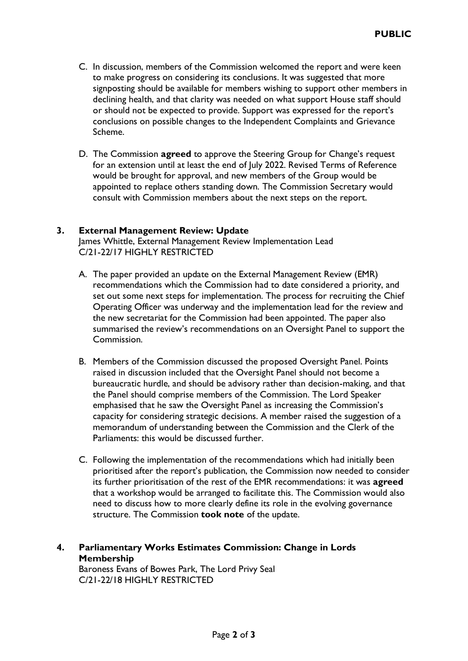- C. In discussion, members of the Commission welcomed the report and were keen to make progress on considering its conclusions. It was suggested that more signposting should be available for members wishing to support other members in declining health, and that clarity was needed on what support House staff should or should not be expected to provide. Support was expressed for the report's conclusions on possible changes to the Independent Complaints and Grievance Scheme.
- D. The Commission **agreed** to approve the Steering Group for Change's request for an extension until at least the end of July 2022. Revised Terms of Reference would be brought for approval, and new members of the Group would be appointed to replace others standing down. The Commission Secretary would consult with Commission members about the next steps on the report.

#### **3. External Management Review: Update**

James Whittle, External Management Review Implementation Lead C/21-22/17 HIGHLY RESTRICTED

- A. The paper provided an update on the External Management Review (EMR) recommendations which the Commission had to date considered a priority, and set out some next steps for implementation. The process for recruiting the Chief Operating Officer was underway and the implementation lead for the review and the new secretariat for the Commission had been appointed. The paper also summarised the review's recommendations on an Oversight Panel to support the Commission.
- B. Members of the Commission discussed the proposed Oversight Panel. Points raised in discussion included that the Oversight Panel should not become a bureaucratic hurdle, and should be advisory rather than decision-making, and that the Panel should comprise members of the Commission. The Lord Speaker emphasised that he saw the Oversight Panel as increasing the Commission's capacity for considering strategic decisions. A member raised the suggestion of a memorandum of understanding between the Commission and the Clerk of the Parliaments: this would be discussed further.
- C. Following the implementation of the recommendations which had initially been prioritised after the report's publication, the Commission now needed to consider its further prioritisation of the rest of the EMR recommendations: it was **agreed** that a workshop would be arranged to facilitate this. The Commission would also need to discuss how to more clearly define its role in the evolving governance structure. The Commission **took note** of the update.

## **4. Parliamentary Works Estimates Commission: Change in Lords Membership**

Baroness Evans of Bowes Park, The Lord Privy Seal C/21-22/18 HIGHLY RESTRICTED